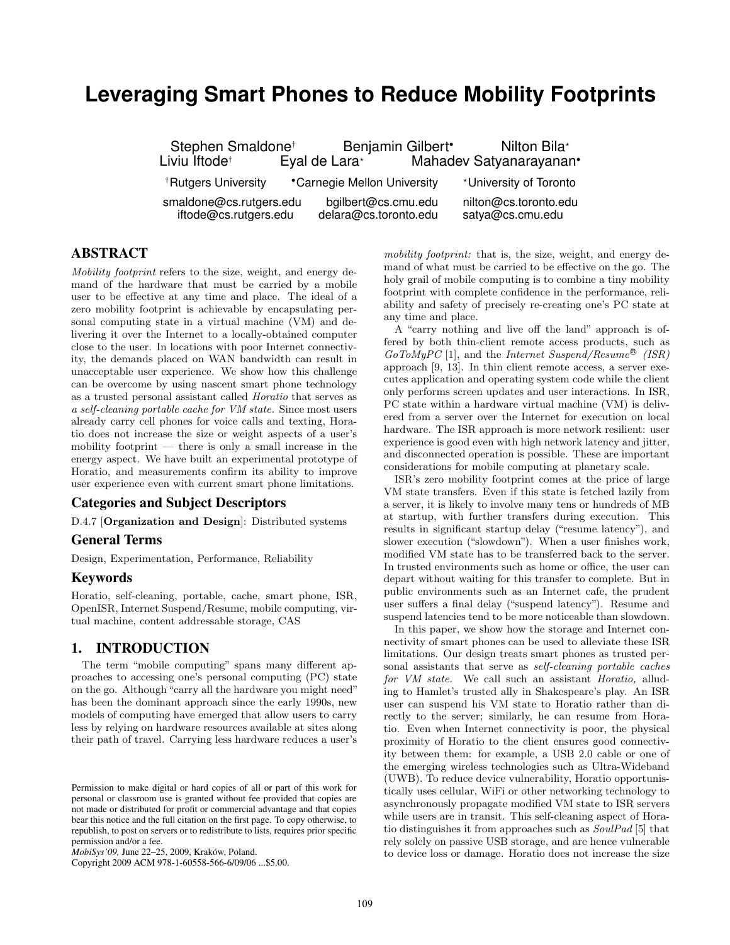# **Leveraging Smart Phones to Reduce Mobility Footprints**

| Stephen Smaldone <sup>t</sup><br>Liviu Iftode <sup>+</sup> | Benjamin Gilbert <sup>•</sup><br>Eyal de Lara* | Nilton Bila <sup>*</sup><br>Mahadev Satyanarayanan• |
|------------------------------------------------------------|------------------------------------------------|-----------------------------------------------------|
| <sup>†</sup> Rutgers University                            | *Carnegie Mellon University                    | *University of Toronto                              |
| smaldone@cs.rutgers.edu<br>iftode@cs.rutgers.edu           | bgilbert@cs.cmu.edu<br>delara@cs.toronto.edu   | nilton@cs.toronto.edu<br>satya@cs.cmu.edu           |

# ABSTRACT

Mobility footprint refers to the size, weight, and energy demand of the hardware that must be carried by a mobile user to be effective at any time and place. The ideal of a zero mobility footprint is achievable by encapsulating personal computing state in a virtual machine (VM) and delivering it over the Internet to a locally-obtained computer close to the user. In locations with poor Internet connectivity, the demands placed on WAN bandwidth can result in unacceptable user experience. We show how this challenge can be overcome by using nascent smart phone technology as a trusted personal assistant called Horatio that serves as a self-cleaning portable cache for VM state. Since most users already carry cell phones for voice calls and texting, Horatio does not increase the size or weight aspects of a user's mobility footprint — there is only a small increase in the energy aspect. We have built an experimental prototype of Horatio, and measurements confirm its ability to improve user experience even with current smart phone limitations.

## Categories and Subject Descriptors

D.4.7 [Organization and Design]: Distributed systems

## General Terms

Design, Experimentation, Performance, Reliability

## Keywords

Horatio, self-cleaning, portable, cache, smart phone, ISR, OpenISR, Internet Suspend/Resume, mobile computing, virtual machine, content addressable storage, CAS

# 1. INTRODUCTION

The term "mobile computing" spans many different approaches to accessing one's personal computing (PC) state on the go. Although "carry all the hardware you might need" has been the dominant approach since the early 1990s, new models of computing have emerged that allow users to carry less by relying on hardware resources available at sites along their path of travel. Carrying less hardware reduces a user's

Copyright 2009 ACM 978-1-60558-566-6/09/06 ...\$5.00.

mobility footprint: that is, the size, weight, and energy demand of what must be carried to be effective on the go. The holy grail of mobile computing is to combine a tiny mobility footprint with complete confidence in the performance, reliability and safety of precisely re-creating one's PC state at any time and place.

A "carry nothing and live off the land" approach is offered by both thin-client remote access products, such as  $GoToMyPC$  [1], and the *Internet Suspend/Resume*<sup>®</sup> (ISR) approach [9, 13]. In thin client remote access, a server executes application and operating system code while the client only performs screen updates and user interactions. In ISR, PC state within a hardware virtual machine (VM) is delivered from a server over the Internet for execution on local hardware. The ISR approach is more network resilient: user experience is good even with high network latency and jitter, and disconnected operation is possible. These are important considerations for mobile computing at planetary scale.

ISR's zero mobility footprint comes at the price of large VM state transfers. Even if this state is fetched lazily from a server, it is likely to involve many tens or hundreds of MB at startup, with further transfers during execution. This results in significant startup delay ("resume latency"), and slower execution ("slowdown"). When a user finishes work, modified VM state has to be transferred back to the server. In trusted environments such as home or office, the user can depart without waiting for this transfer to complete. But in public environments such as an Internet cafe, the prudent user suffers a final delay ("suspend latency"). Resume and suspend latencies tend to be more noticeable than slowdown.

In this paper, we show how the storage and Internet connectivity of smart phones can be used to alleviate these ISR limitations. Our design treats smart phones as trusted personal assistants that serve as self-cleaning portable caches for VM state. We call such an assistant Horatio, alluding to Hamlet's trusted ally in Shakespeare's play. An ISR user can suspend his VM state to Horatio rather than directly to the server; similarly, he can resume from Horatio. Even when Internet connectivity is poor, the physical proximity of Horatio to the client ensures good connectivity between them: for example, a USB 2.0 cable or one of the emerging wireless technologies such as Ultra-Wideband (UWB). To reduce device vulnerability, Horatio opportunistically uses cellular, WiFi or other networking technology to asynchronously propagate modified VM state to ISR servers while users are in transit. This self-cleaning aspect of Horatio distinguishes it from approaches such as SoulPad [5] that rely solely on passive USB storage, and are hence vulnerable to device loss or damage. Horatio does not increase the size

Permission to make digital or hard copies of all or part of this work for personal or classroom use is granted without fee provided that copies are not made or distributed for profit or commercial advantage and that copies bear this notice and the full citation on the first page. To copy otherwise, to republish, to post on servers or to redistribute to lists, requires prior specific permission and/or a fee.

*MobiSys'09,* June 22–25, 2009, Kraków, Poland.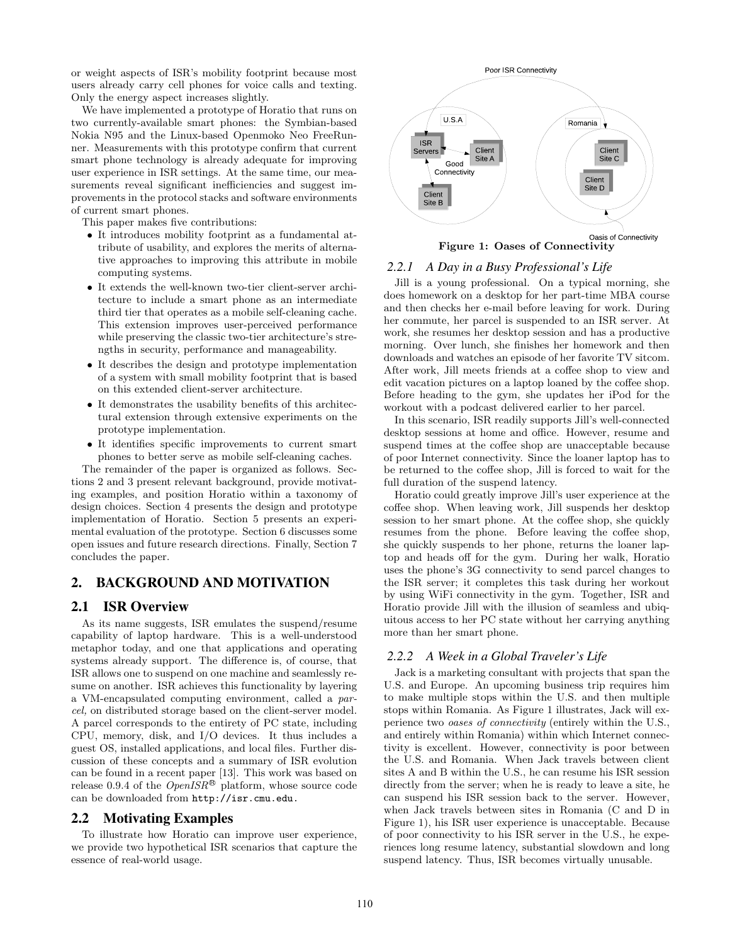or weight aspects of ISR's mobility footprint because most users already carry cell phones for voice calls and texting. Only the energy aspect increases slightly.

We have implemented a prototype of Horatio that runs on two currently-available smart phones: the Symbian-based Nokia N95 and the Linux-based Openmoko Neo FreeRunner. Measurements with this prototype confirm that current smart phone technology is already adequate for improving user experience in ISR settings. At the same time, our measurements reveal significant inefficiencies and suggest improvements in the protocol stacks and software environments of current smart phones.

This paper makes five contributions:

- It introduces mobility footprint as a fundamental attribute of usability, and explores the merits of alternative approaches to improving this attribute in mobile computing systems.
- It extends the well-known two-tier client-server architecture to include a smart phone as an intermediate third tier that operates as a mobile self-cleaning cache. This extension improves user-perceived performance while preserving the classic two-tier architecture's strengths in security, performance and manageability.
- It describes the design and prototype implementation of a system with small mobility footprint that is based on this extended client-server architecture.
- It demonstrates the usability benefits of this architectural extension through extensive experiments on the prototype implementation.
- It identifies specific improvements to current smart phones to better serve as mobile self-cleaning caches.

The remainder of the paper is organized as follows. Sections 2 and 3 present relevant background, provide motivating examples, and position Horatio within a taxonomy of design choices. Section 4 presents the design and prototype implementation of Horatio. Section 5 presents an experimental evaluation of the prototype. Section 6 discusses some open issues and future research directions. Finally, Section 7 concludes the paper.

# 2. BACKGROUND AND MOTIVATION

# 2.1 ISR Overview

As its name suggests, ISR emulates the suspend/resume capability of laptop hardware. This is a well-understood metaphor today, and one that applications and operating systems already support. The difference is, of course, that ISR allows one to suspend on one machine and seamlessly resume on another. ISR achieves this functionality by layering a VM-encapsulated computing environment, called a parcel, on distributed storage based on the client-server model. A parcel corresponds to the entirety of PC state, including CPU, memory, disk, and I/O devices. It thus includes a guest OS, installed applications, and local files. Further discussion of these concepts and a summary of ISR evolution can be found in a recent paper [13]. This work was based on release 0.9.4 of the  $OpenISR^{\tiny{\textcircled{D}}}$  platform, whose source code can be downloaded from http://isr.cmu.edu.

# 2.2 Motivating Examples

To illustrate how Horatio can improve user experience, we provide two hypothetical ISR scenarios that capture the essence of real-world usage.



# *2.2.1 A Day in a Busy Professional's Life*

Jill is a young professional. On a typical morning, she does homework on a desktop for her part-time MBA course and then checks her e-mail before leaving for work. During her commute, her parcel is suspended to an ISR server. At work, she resumes her desktop session and has a productive morning. Over lunch, she finishes her homework and then downloads and watches an episode of her favorite TV sitcom. After work, Jill meets friends at a coffee shop to view and edit vacation pictures on a laptop loaned by the coffee shop. Before heading to the gym, she updates her iPod for the workout with a podcast delivered earlier to her parcel.

In this scenario, ISR readily supports Jill's well-connected desktop sessions at home and office. However, resume and suspend times at the coffee shop are unacceptable because of poor Internet connectivity. Since the loaner laptop has to be returned to the coffee shop, Jill is forced to wait for the full duration of the suspend latency.

Horatio could greatly improve Jill's user experience at the coffee shop. When leaving work, Jill suspends her desktop session to her smart phone. At the coffee shop, she quickly resumes from the phone. Before leaving the coffee shop, she quickly suspends to her phone, returns the loaner laptop and heads off for the gym. During her walk, Horatio uses the phone's 3G connectivity to send parcel changes to the ISR server; it completes this task during her workout by using WiFi connectivity in the gym. Together, ISR and Horatio provide Jill with the illusion of seamless and ubiquitous access to her PC state without her carrying anything more than her smart phone.

## *2.2.2 A Week in a Global Traveler's Life*

Jack is a marketing consultant with projects that span the U.S. and Europe. An upcoming business trip requires him to make multiple stops within the U.S. and then multiple stops within Romania. As Figure 1 illustrates, Jack will experience two *oases of connectivity* (entirely within the U.S., and entirely within Romania) within which Internet connectivity is excellent. However, connectivity is poor between the U.S. and Romania. When Jack travels between client sites A and B within the U.S., he can resume his ISR session directly from the server; when he is ready to leave a site, he can suspend his ISR session back to the server. However, when Jack travels between sites in Romania (C and D in Figure 1), his ISR user experience is unacceptable. Because of poor connectivity to his ISR server in the U.S., he experiences long resume latency, substantial slowdown and long suspend latency. Thus, ISR becomes virtually unusable.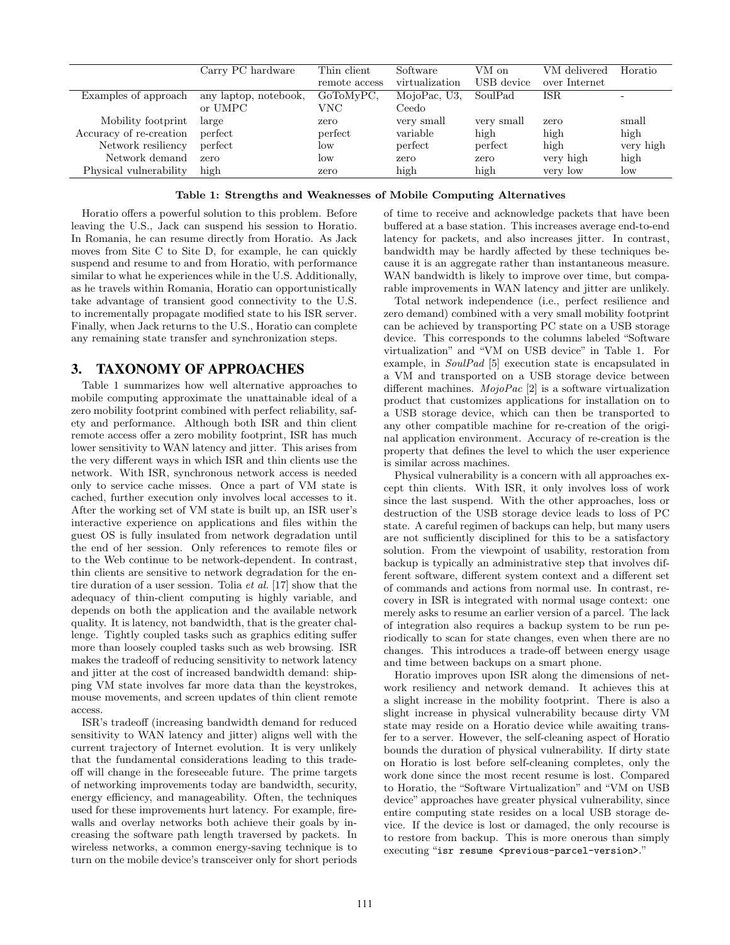|                         | Carry PC hardware     | Thin client<br>remote access | Software<br>virtualization | VM on<br>USB device | VM delivered<br>over Internet | Horatio   |
|-------------------------|-----------------------|------------------------------|----------------------------|---------------------|-------------------------------|-----------|
| Examples of approach    | any laptop, notebook, | GoToMyPC,                    | MojoPac, U3.               | SoulPad             | <b>ISR</b>                    |           |
|                         | or UMPC               | VNC                          | Ceedo                      |                     |                               |           |
| Mobility footprint      | large                 | zero                         | very small                 | very small          | zero                          | small     |
| Accuracy of re-creation | perfect               | perfect                      | variable                   | high                | high                          | high      |
| Network resiliency      | perfect               | low                          | perfect                    | perfect             | high                          | very high |
| Network demand          | zero                  | low                          | zero                       | zero                | very high                     | high      |
| Physical vulnerability  | high                  | zero                         | high                       | high                | very low                      | low       |

Horatio offers a powerful solution to this problem. Before leaving the U.S., Jack can suspend his session to Horatio. In Romania, he can resume directly from Horatio. As Jack moves from Site C to Site D, for example, he can quickly suspend and resume to and from Horatio, with performance similar to what he experiences while in the U.S. Additionally, as he travels within Romania, Horatio can opportunistically take advantage of transient good connectivity to the U.S. to incrementally propagate modified state to his ISR server. Finally, when Jack returns to the U.S., Horatio can complete any remaining state transfer and synchronization steps.

# 3. TAXONOMY OF APPROACHES

Table 1 summarizes how well alternative approaches to mobile computing approximate the unattainable ideal of a zero mobility footprint combined with perfect reliability, safety and performance. Although both ISR and thin client remote access offer a zero mobility footprint, ISR has much lower sensitivity to WAN latency and jitter. This arises from the very different ways in which ISR and thin clients use the network. With ISR, synchronous network access is needed only to service cache misses. Once a part of VM state is cached, further execution only involves local accesses to it. After the working set of VM state is built up, an ISR user's interactive experience on applications and files within the guest OS is fully insulated from network degradation until the end of her session. Only references to remote files or to the Web continue to be network-dependent. In contrast, thin clients are sensitive to network degradation for the entire duration of a user session. Tolia et al. [17] show that the adequacy of thin-client computing is highly variable, and depends on both the application and the available network quality. It is latency, not bandwidth, that is the greater challenge. Tightly coupled tasks such as graphics editing suffer more than loosely coupled tasks such as web browsing. ISR makes the tradeoff of reducing sensitivity to network latency and jitter at the cost of increased bandwidth demand: shipping VM state involves far more data than the keystrokes, mouse movements, and screen updates of thin client remote access.

ISR's tradeoff (increasing bandwidth demand for reduced sensitivity to WAN latency and jitter) aligns well with the current trajectory of Internet evolution. It is very unlikely that the fundamental considerations leading to this tradeoff will change in the foreseeable future. The prime targets of networking improvements today are bandwidth, security, energy efficiency, and manageability. Often, the techniques used for these improvements hurt latency. For example, firewalls and overlay networks both achieve their goals by increasing the software path length traversed by packets. In wireless networks, a common energy-saving technique is to turn on the mobile device's transceiver only for short periods

of time to receive and acknowledge packets that have been buffered at a base station. This increases average end-to-end latency for packets, and also increases jitter. In contrast, bandwidth may be hardly affected by these techniques because it is an aggregate rather than instantaneous measure. WAN bandwidth is likely to improve over time, but comparable improvements in WAN latency and jitter are unlikely.

Total network independence (i.e., perfect resilience and zero demand) combined with a very small mobility footprint can be achieved by transporting PC state on a USB storage device. This corresponds to the columns labeled "Software virtualization" and "VM on USB device" in Table 1. For example, in SoulPad [5] execution state is encapsulated in a VM and transported on a USB storage device between different machines.  $Mojo Pac$  [2] is a software virtualization product that customizes applications for installation on to a USB storage device, which can then be transported to any other compatible machine for re-creation of the original application environment. Accuracy of re-creation is the property that defines the level to which the user experience is similar across machines.

Physical vulnerability is a concern with all approaches except thin clients. With ISR, it only involves loss of work since the last suspend. With the other approaches, loss or destruction of the USB storage device leads to loss of PC state. A careful regimen of backups can help, but many users are not sufficiently disciplined for this to be a satisfactory solution. From the viewpoint of usability, restoration from backup is typically an administrative step that involves different software, different system context and a different set of commands and actions from normal use. In contrast, recovery in ISR is integrated with normal usage context: one merely asks to resume an earlier version of a parcel. The lack of integration also requires a backup system to be run periodically to scan for state changes, even when there are no changes. This introduces a trade-off between energy usage and time between backups on a smart phone.

Horatio improves upon ISR along the dimensions of network resiliency and network demand. It achieves this at a slight increase in the mobility footprint. There is also a slight increase in physical vulnerability because dirty VM state may reside on a Horatio device while awaiting transfer to a server. However, the self-cleaning aspect of Horatio bounds the duration of physical vulnerability. If dirty state on Horatio is lost before self-cleaning completes, only the work done since the most recent resume is lost. Compared to Horatio, the "Software Virtualization" and "VM on USB device" approaches have greater physical vulnerability, since entire computing state resides on a local USB storage device. If the device is lost or damaged, the only recourse is to restore from backup. This is more onerous than simply executing "isr resume <previous-parcel-version>."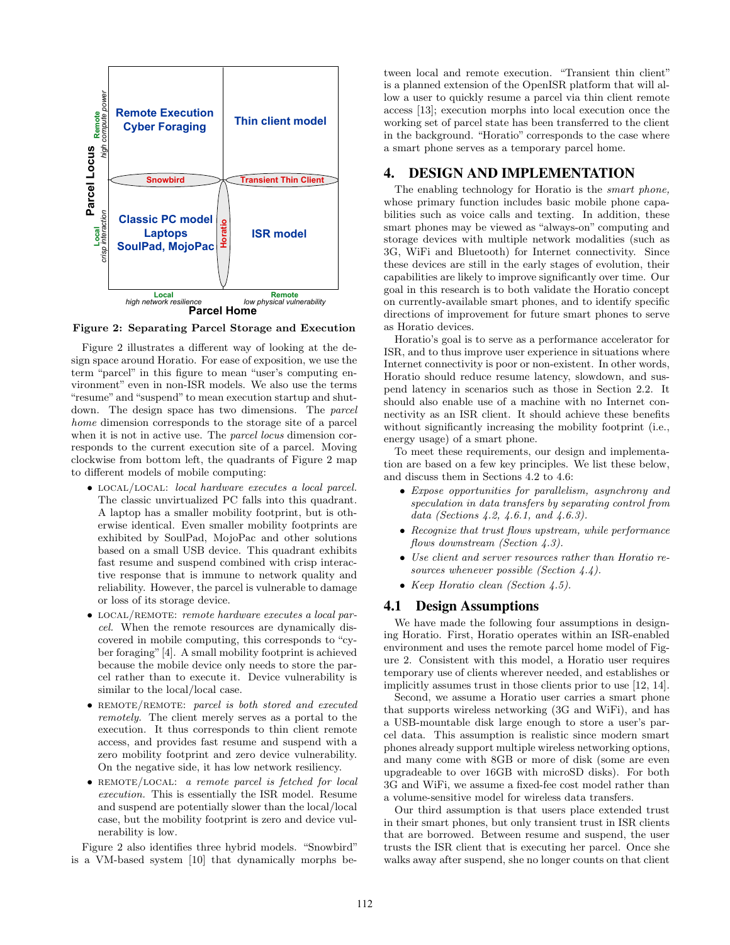

Figure 2: Separating Parcel Storage and Execution

Figure 2 illustrates a different way of looking at the design space around Horatio. For ease of exposition, we use the term "parcel" in this figure to mean "user's computing environment" even in non-ISR models. We also use the terms "resume" and "suspend" to mean execution startup and shutdown. The design space has two dimensions. The parcel home dimension corresponds to the storage site of a parcel when it is not in active use. The *parcel locus* dimension corresponds to the current execution site of a parcel. Moving clockwise from bottom left, the quadrants of Figure 2 map to different models of mobile computing:

- LOCAL/LOCAL: local hardware executes a local parcel. The classic unvirtualized PC falls into this quadrant. A laptop has a smaller mobility footprint, but is otherwise identical. Even smaller mobility footprints are exhibited by SoulPad, MojoPac and other solutions based on a small USB device. This quadrant exhibits fast resume and suspend combined with crisp interactive response that is immune to network quality and reliability. However, the parcel is vulnerable to damage or loss of its storage device.
- LOCAL/REMOTE: remote hardware executes a local parcel. When the remote resources are dynamically discovered in mobile computing, this corresponds to "cyber foraging"[4]. A small mobility footprint is achieved because the mobile device only needs to store the parcel rather than to execute it. Device vulnerability is similar to the local/local case.
- REMOTE/REMOTE: parcel is both stored and executed remotely. The client merely serves as a portal to the execution. It thus corresponds to thin client remote access, and provides fast resume and suspend with a zero mobility footprint and zero device vulnerability. On the negative side, it has low network resiliency.
- $\bullet$  REMOTE/LOCAL: a remote parcel is fetched for local execution. This is essentially the ISR model. Resume and suspend are potentially slower than the local/local case, but the mobility footprint is zero and device vulnerability is low.

Figure 2 also identifies three hybrid models. "Snowbird" is a VM-based system [10] that dynamically morphs be-

tween local and remote execution. "Transient thin client" is a planned extension of the OpenISR platform that will allow a user to quickly resume a parcel via thin client remote access [13]; execution morphs into local execution once the working set of parcel state has been transferred to the client in the background. "Horatio" corresponds to the case where a smart phone serves as a temporary parcel home.

## 4. DESIGN AND IMPLEMENTATION

The enabling technology for Horatio is the smart phone, whose primary function includes basic mobile phone capabilities such as voice calls and texting. In addition, these smart phones may be viewed as "always-on" computing and storage devices with multiple network modalities (such as 3G, WiFi and Bluetooth) for Internet connectivity. Since these devices are still in the early stages of evolution, their capabilities are likely to improve significantly over time. Our goal in this research is to both validate the Horatio concept on currently-available smart phones, and to identify specific directions of improvement for future smart phones to serve as Horatio devices.

Horatio's goal is to serve as a performance accelerator for ISR, and to thus improve user experience in situations where Internet connectivity is poor or non-existent. In other words, Horatio should reduce resume latency, slowdown, and suspend latency in scenarios such as those in Section 2.2. It should also enable use of a machine with no Internet connectivity as an ISR client. It should achieve these benefits without significantly increasing the mobility footprint (i.e., energy usage) of a smart phone.

To meet these requirements, our design and implementation are based on a few key principles. We list these below, and discuss them in Sections 4.2 to 4.6:

- Expose opportunities for parallelism, asynchrony and speculation in data transfers by separating control from data (Sections 4.2, 4.6.1, and 4.6.3).
- Recognize that trust flows upstream, while performance flows downstream (Section 4.3).
- Use client and server resources rather than Horatio resources whenever possible (Section 4.4).
- Keep Horatio clean (Section 4.5).

## 4.1 Design Assumptions

We have made the following four assumptions in designing Horatio. First, Horatio operates within an ISR-enabled environment and uses the remote parcel home model of Figure 2. Consistent with this model, a Horatio user requires temporary use of clients wherever needed, and establishes or implicitly assumes trust in those clients prior to use [12, 14].

Second, we assume a Horatio user carries a smart phone that supports wireless networking (3G and WiFi), and has a USB-mountable disk large enough to store a user's parcel data. This assumption is realistic since modern smart phones already support multiple wireless networking options, and many come with 8GB or more of disk (some are even upgradeable to over 16GB with microSD disks). For both 3G and WiFi, we assume a fixed-fee cost model rather than a volume-sensitive model for wireless data transfers.

Our third assumption is that users place extended trust in their smart phones, but only transient trust in ISR clients that are borrowed. Between resume and suspend, the user trusts the ISR client that is executing her parcel. Once she walks away after suspend, she no longer counts on that client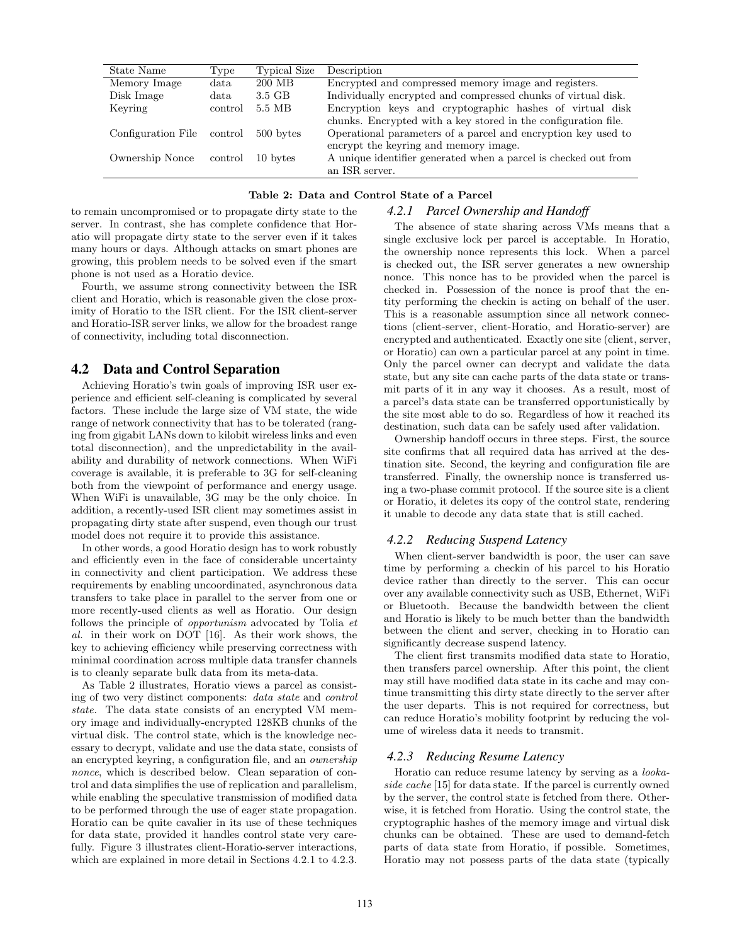| State Name                 | Type    | <b>Typical Size</b> | Description                                                     |
|----------------------------|---------|---------------------|-----------------------------------------------------------------|
| Memory Image               | data    | 200 MB              | Encrypted and compressed memory image and registers.            |
| Disk Image                 | data    | 3.5 GB              | Individually encrypted and compressed chunks of virtual disk.   |
| Keyring                    | control | $5.5\;\mathrm{MB}$  | Encryption keys and cryptographic hashes of virtual disk        |
|                            |         |                     | chunks. Encrypted with a key stored in the configuration file.  |
| Configuration File control |         | 500 bytes           | Operational parameters of a parcel and encryption key used to   |
|                            |         |                     | encrypt the keyring and memory image.                           |
| Ownership Nonce            | control | 10 bytes            | A unique identifier generated when a parcel is checked out from |
|                            |         |                     | an ISR server.                                                  |

|  | Table 2: Data and Control State of a Parcel |  |  |  |  |
|--|---------------------------------------------|--|--|--|--|
|--|---------------------------------------------|--|--|--|--|

to remain uncompromised or to propagate dirty state to the server. In contrast, she has complete confidence that Horatio will propagate dirty state to the server even if it takes many hours or days. Although attacks on smart phones are growing, this problem needs to be solved even if the smart phone is not used as a Horatio device.

Fourth, we assume strong connectivity between the ISR client and Horatio, which is reasonable given the close proximity of Horatio to the ISR client. For the ISR client-server and Horatio-ISR server links, we allow for the broadest range of connectivity, including total disconnection.

# 4.2 Data and Control Separation

Achieving Horatio's twin goals of improving ISR user experience and efficient self-cleaning is complicated by several factors. These include the large size of VM state, the wide range of network connectivity that has to be tolerated (ranging from gigabit LANs down to kilobit wireless links and even total disconnection), and the unpredictability in the availability and durability of network connections. When WiFi coverage is available, it is preferable to 3G for self-cleaning both from the viewpoint of performance and energy usage. When WiFi is unavailable, 3G may be the only choice. In addition, a recently-used ISR client may sometimes assist in propagating dirty state after suspend, even though our trust model does not require it to provide this assistance.

In other words, a good Horatio design has to work robustly and efficiently even in the face of considerable uncertainty in connectivity and client participation. We address these requirements by enabling uncoordinated, asynchronous data transfers to take place in parallel to the server from one or more recently-used clients as well as Horatio. Our design follows the principle of opportunism advocated by Tolia et al. in their work on DOT [16]. As their work shows, the key to achieving efficiency while preserving correctness with minimal coordination across multiple data transfer channels is to cleanly separate bulk data from its meta-data.

As Table 2 illustrates, Horatio views a parcel as consisting of two very distinct components: data state and control state. The data state consists of an encrypted VM memory image and individually-encrypted 128KB chunks of the virtual disk. The control state, which is the knowledge necessary to decrypt, validate and use the data state, consists of an encrypted keyring, a configuration file, and an ownership nonce, which is described below. Clean separation of control and data simplifies the use of replication and parallelism, while enabling the speculative transmission of modified data to be performed through the use of eager state propagation. Horatio can be quite cavalier in its use of these techniques for data state, provided it handles control state very carefully. Figure 3 illustrates client-Horatio-server interactions, which are explained in more detail in Sections 4.2.1 to 4.2.3.

# *4.2.1 Parcel Ownership and Handoff*

The absence of state sharing across VMs means that a single exclusive lock per parcel is acceptable. In Horatio, the ownership nonce represents this lock. When a parcel is checked out, the ISR server generates a new ownership nonce. This nonce has to be provided when the parcel is checked in. Possession of the nonce is proof that the entity performing the checkin is acting on behalf of the user. This is a reasonable assumption since all network connections (client-server, client-Horatio, and Horatio-server) are encrypted and authenticated. Exactly one site (client, server, or Horatio) can own a particular parcel at any point in time. Only the parcel owner can decrypt and validate the data state, but any site can cache parts of the data state or transmit parts of it in any way it chooses. As a result, most of a parcel's data state can be transferred opportunistically by the site most able to do so. Regardless of how it reached its destination, such data can be safely used after validation.

Ownership handoff occurs in three steps. First, the source site confirms that all required data has arrived at the destination site. Second, the keyring and configuration file are transferred. Finally, the ownership nonce is transferred using a two-phase commit protocol. If the source site is a client or Horatio, it deletes its copy of the control state, rendering it unable to decode any data state that is still cached.

## *4.2.2 Reducing Suspend Latency*

When client-server bandwidth is poor, the user can save time by performing a checkin of his parcel to his Horatio device rather than directly to the server. This can occur over any available connectivity such as USB, Ethernet, WiFi or Bluetooth. Because the bandwidth between the client and Horatio is likely to be much better than the bandwidth between the client and server, checking in to Horatio can significantly decrease suspend latency.

The client first transmits modified data state to Horatio, then transfers parcel ownership. After this point, the client may still have modified data state in its cache and may continue transmitting this dirty state directly to the server after the user departs. This is not required for correctness, but can reduce Horatio's mobility footprint by reducing the volume of wireless data it needs to transmit.

## *4.2.3 Reducing Resume Latency*

Horatio can reduce resume latency by serving as a lookaside cache [15] for data state. If the parcel is currently owned by the server, the control state is fetched from there. Otherwise, it is fetched from Horatio. Using the control state, the cryptographic hashes of the memory image and virtual disk chunks can be obtained. These are used to demand-fetch parts of data state from Horatio, if possible. Sometimes, Horatio may not possess parts of the data state (typically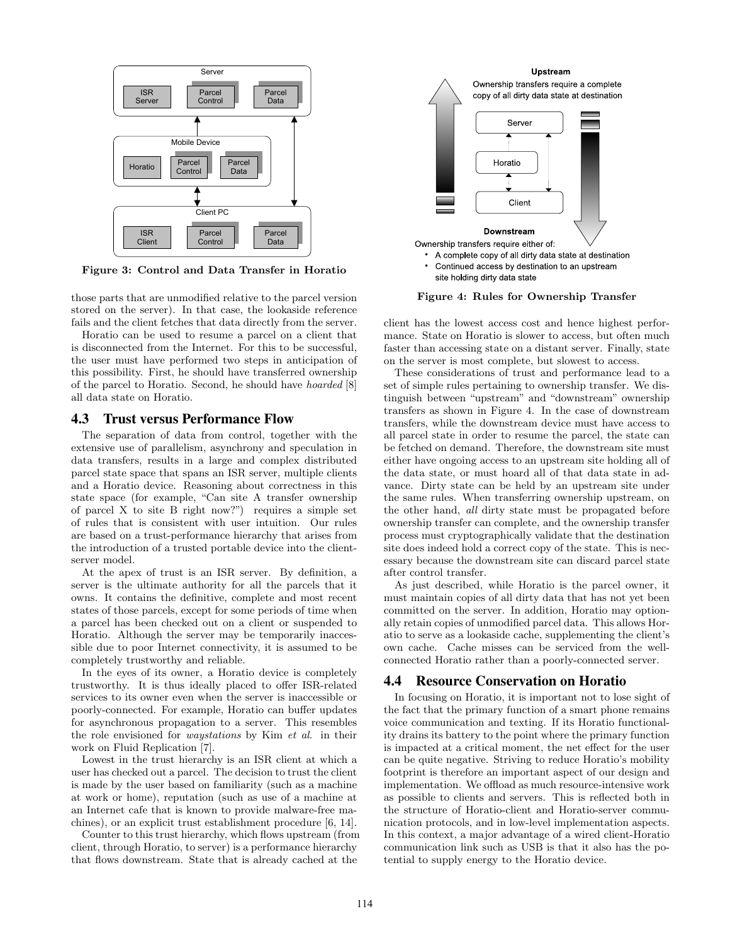

Figure 3: Control and Data Transfer in Horatio

those parts that are unmodified relative to the parcel version stored on the server). In that case, the lookaside reference fails and the client fetches that data directly from the server.

Horatio can be used to resume a parcel on a client that is disconnected from the Internet. For this to be successful, the user must have performed two steps in anticipation of this possibility. First, he should have transferred ownership of the parcel to Horatio. Second, he should have hoarded [8] all data state on Horatio.

## 4.3 Trust versus Performance Flow

The separation of data from control, together with the extensive use of parallelism, asynchrony and speculation in data transfers, results in a large and complex distributed parcel state space that spans an ISR server, multiple clients and a Horatio device. Reasoning about correctness in this state space (for example, "Can site A transfer ownership of parcel X to site B right now?") requires a simple set of rules that is consistent with user intuition. Our rules are based on a trust-performance hierarchy that arises from the introduction of a trusted portable device into the clientserver model.

At the apex of trust is an ISR server. By definition, a server is the ultimate authority for all the parcels that it owns. It contains the definitive, complete and most recent states of those parcels, except for some periods of time when a parcel has been checked out on a client or suspended to Horatio. Although the server may be temporarily inaccessible due to poor Internet connectivity, it is assumed to be completely trustworthy and reliable.

In the eyes of its owner, a Horatio device is completely trustworthy. It is thus ideally placed to offer ISR-related services to its owner even when the server is inaccessible or poorly-connected. For example, Horatio can buffer updates for asynchronous propagation to a server. This resembles the role envisioned for waystations by Kim et al. in their work on Fluid Replication [7].

Lowest in the trust hierarchy is an ISR client at which a user has checked out a parcel. The decision to trust the client is made by the user based on familiarity (such as a machine at work or home), reputation (such as use of a machine at an Internet cafe that is known to provide malware-free machines), or an explicit trust establishment procedure [6, 14].

Counter to this trust hierarchy, which flows upstream (from client, through Horatio, to server) is a performance hierarchy that flows downstream. State that is already cached at the



site holding dirty data state

Figure 4: Rules for Ownership Transfer

client has the lowest access cost and hence highest performance. State on Horatio is slower to access, but often much faster than accessing state on a distant server. Finally, state on the server is most complete, but slowest to access.

These considerations of trust and performance lead to a set of simple rules pertaining to ownership transfer. We distinguish between "upstream" and "downstream" ownership transfers as shown in Figure 4. In the case of downstream transfers, while the downstream device must have access to all parcel state in order to resume the parcel, the state can be fetched on demand. Therefore, the downstream site must either have ongoing access to an upstream site holding all of the data state, or must hoard all of that data state in advance. Dirty state can be held by an upstream site under the same rules. When transferring ownership upstream, on the other hand, all dirty state must be propagated before ownership transfer can complete, and the ownership transfer process must cryptographically validate that the destination site does indeed hold a correct copy of the state. This is necessary because the downstream site can discard parcel state after control transfer.

As just described, while Horatio is the parcel owner, it must maintain copies of all dirty data that has not yet been committed on the server. In addition, Horatio may optionally retain copies of unmodified parcel data. This allows Horatio to serve as a lookaside cache, supplementing the client's own cache. Cache misses can be serviced from the wellconnected Horatio rather than a poorly-connected server.

#### 4.4 Resource Conservation on Horatio

In focusing on Horatio, it is important not to lose sight of the fact that the primary function of a smart phone remains voice communication and texting. If its Horatio functionality drains its battery to the point where the primary function is impacted at a critical moment, the net effect for the user can be quite negative. Striving to reduce Horatio's mobility footprint is therefore an important aspect of our design and implementation. We offload as much resource-intensive work as possible to clients and servers. This is reflected both in the structure of Horatio-client and Horatio-server communication protocols, and in low-level implementation aspects. In this context, a major advantage of a wired client-Horatio communication link such as USB is that it also has the potential to supply energy to the Horatio device.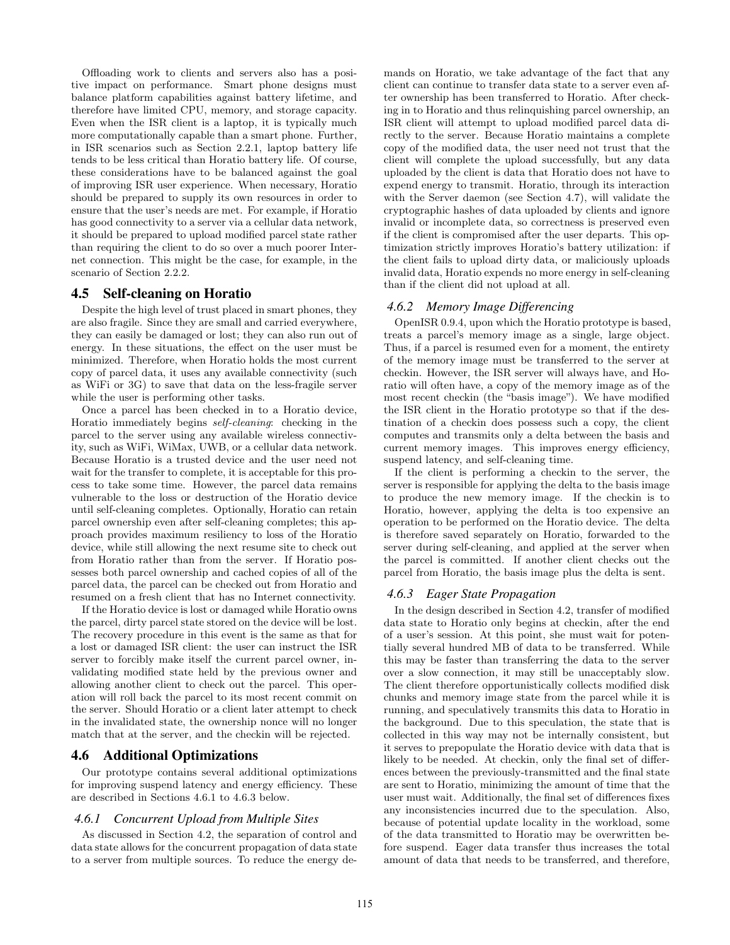Offloading work to clients and servers also has a positive impact on performance. Smart phone designs must balance platform capabilities against battery lifetime, and therefore have limited CPU, memory, and storage capacity. Even when the ISR client is a laptop, it is typically much more computationally capable than a smart phone. Further, in ISR scenarios such as Section 2.2.1, laptop battery life tends to be less critical than Horatio battery life. Of course, these considerations have to be balanced against the goal of improving ISR user experience. When necessary, Horatio should be prepared to supply its own resources in order to ensure that the user's needs are met. For example, if Horatio has good connectivity to a server via a cellular data network, it should be prepared to upload modified parcel state rather than requiring the client to do so over a much poorer Internet connection. This might be the case, for example, in the scenario of Section 2.2.2.

# 4.5 Self-cleaning on Horatio

Despite the high level of trust placed in smart phones, they are also fragile. Since they are small and carried everywhere, they can easily be damaged or lost; they can also run out of energy. In these situations, the effect on the user must be minimized. Therefore, when Horatio holds the most current copy of parcel data, it uses any available connectivity (such as WiFi or 3G) to save that data on the less-fragile server while the user is performing other tasks.

Once a parcel has been checked in to a Horatio device, Horatio immediately begins self-cleaning: checking in the parcel to the server using any available wireless connectivity, such as WiFi, WiMax, UWB, or a cellular data network. Because Horatio is a trusted device and the user need not wait for the transfer to complete, it is acceptable for this process to take some time. However, the parcel data remains vulnerable to the loss or destruction of the Horatio device until self-cleaning completes. Optionally, Horatio can retain parcel ownership even after self-cleaning completes; this approach provides maximum resiliency to loss of the Horatio device, while still allowing the next resume site to check out from Horatio rather than from the server. If Horatio possesses both parcel ownership and cached copies of all of the parcel data, the parcel can be checked out from Horatio and resumed on a fresh client that has no Internet connectivity.

If the Horatio device is lost or damaged while Horatio owns the parcel, dirty parcel state stored on the device will be lost. The recovery procedure in this event is the same as that for a lost or damaged ISR client: the user can instruct the ISR server to forcibly make itself the current parcel owner, invalidating modified state held by the previous owner and allowing another client to check out the parcel. This operation will roll back the parcel to its most recent commit on the server. Should Horatio or a client later attempt to check in the invalidated state, the ownership nonce will no longer match that at the server, and the checkin will be rejected.

# 4.6 Additional Optimizations

Our prototype contains several additional optimizations for improving suspend latency and energy efficiency. These are described in Sections 4.6.1 to 4.6.3 below.

## *4.6.1 Concurrent Upload from Multiple Sites*

As discussed in Section 4.2, the separation of control and data state allows for the concurrent propagation of data state to a server from multiple sources. To reduce the energy de-

mands on Horatio, we take advantage of the fact that any client can continue to transfer data state to a server even after ownership has been transferred to Horatio. After checking in to Horatio and thus relinquishing parcel ownership, an ISR client will attempt to upload modified parcel data directly to the server. Because Horatio maintains a complete copy of the modified data, the user need not trust that the client will complete the upload successfully, but any data uploaded by the client is data that Horatio does not have to expend energy to transmit. Horatio, through its interaction with the Server daemon (see Section 4.7), will validate the cryptographic hashes of data uploaded by clients and ignore invalid or incomplete data, so correctness is preserved even if the client is compromised after the user departs. This optimization strictly improves Horatio's battery utilization: if the client fails to upload dirty data, or maliciously uploads invalid data, Horatio expends no more energy in self-cleaning than if the client did not upload at all.

## *4.6.2 Memory Image Differencing*

OpenISR 0.9.4, upon which the Horatio prototype is based, treats a parcel's memory image as a single, large object. Thus, if a parcel is resumed even for a moment, the entirety of the memory image must be transferred to the server at checkin. However, the ISR server will always have, and Horatio will often have, a copy of the memory image as of the most recent checkin (the "basis image"). We have modified the ISR client in the Horatio prototype so that if the destination of a checkin does possess such a copy, the client computes and transmits only a delta between the basis and current memory images. This improves energy efficiency, suspend latency, and self-cleaning time.

If the client is performing a checkin to the server, the server is responsible for applying the delta to the basis image to produce the new memory image. If the checkin is to Horatio, however, applying the delta is too expensive an operation to be performed on the Horatio device. The delta is therefore saved separately on Horatio, forwarded to the server during self-cleaning, and applied at the server when the parcel is committed. If another client checks out the parcel from Horatio, the basis image plus the delta is sent.

#### *4.6.3 Eager State Propagation*

In the design described in Section 4.2, transfer of modified data state to Horatio only begins at checkin, after the end of a user's session. At this point, she must wait for potentially several hundred MB of data to be transferred. While this may be faster than transferring the data to the server over a slow connection, it may still be unacceptably slow. The client therefore opportunistically collects modified disk chunks and memory image state from the parcel while it is running, and speculatively transmits this data to Horatio in the background. Due to this speculation, the state that is collected in this way may not be internally consistent, but it serves to prepopulate the Horatio device with data that is likely to be needed. At checkin, only the final set of differences between the previously-transmitted and the final state are sent to Horatio, minimizing the amount of time that the user must wait. Additionally, the final set of differences fixes any inconsistencies incurred due to the speculation. Also, because of potential update locality in the workload, some of the data transmitted to Horatio may be overwritten before suspend. Eager data transfer thus increases the total amount of data that needs to be transferred, and therefore,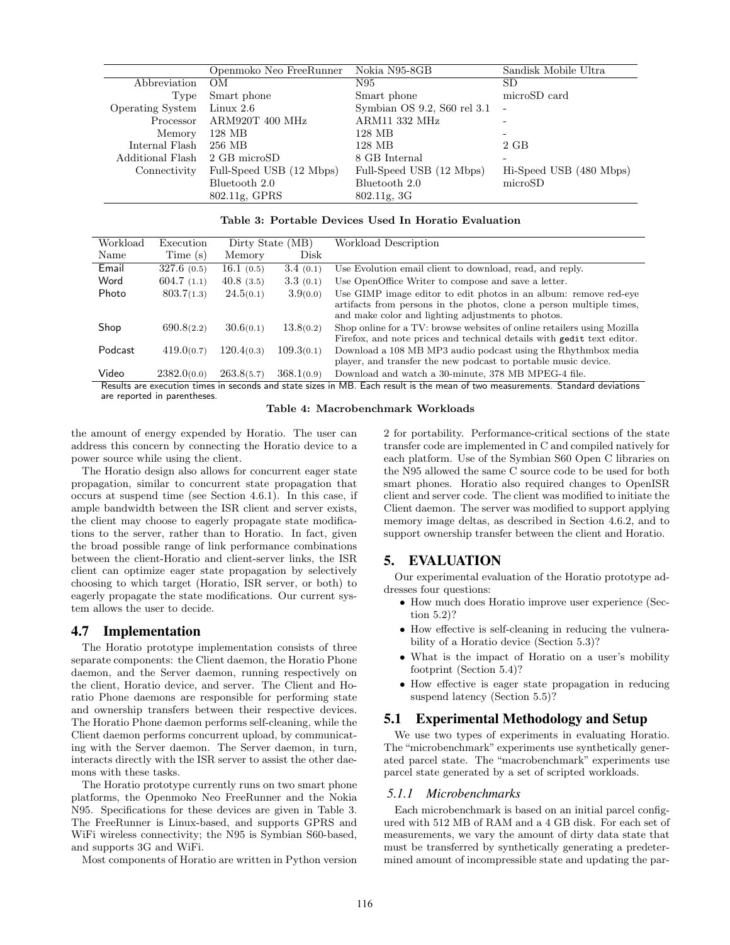|                  | Openmoko Neo FreeRunner  | Nokia N95-8GB               | Sandisk Mobile Ultra    |
|------------------|--------------------------|-----------------------------|-------------------------|
|                  |                          |                             |                         |
| Abbreviation     | OM                       | N95                         | SD                      |
| Type             | Smart phone              | Smart phone                 | microSD card            |
| Operating System | Linux 2.6                | Symbian OS 9.2, S60 rel 3.1 |                         |
| Processor        | ARM920T 400 MHz          | ARM11 332 MHz               |                         |
| Memory           | 128 MB                   | 128 MB                      |                         |
| Internal Flash   | 256 MB                   | 128 MB                      | 2 GB                    |
| Additional Flash | 2 GB microSD             | 8 GB Internal               |                         |
| Connectivity     | Full-Speed USB (12 Mbps) | Full-Speed USB (12 Mbps)    | Hi-Speed USB (480 Mbps) |
|                  | Bluetooth 2.0            | Bluetooth 2.0               | microSD                 |
|                  | 802.11g, GPRS            | $802.11$ g, 3G              |                         |

|  |  |  |  |  | Table 3: Portable Devices Used In Horatio Evaluation |
|--|--|--|--|--|------------------------------------------------------|
|--|--|--|--|--|------------------------------------------------------|

| Workload | Execution   | Dirty State ( | (MB)       | Workload Description                                                                                                                                                                           |
|----------|-------------|---------------|------------|------------------------------------------------------------------------------------------------------------------------------------------------------------------------------------------------|
| Name     | Time (s)    | Memory        | Disk       |                                                                                                                                                                                                |
| Email    | 327.6(0.5)  | 16.1(0.5)     | 3.4(0.1)   | Use Evolution email client to download, read, and reply.                                                                                                                                       |
| Word     | 604.7(1.1)  | 40.8(3.5)     | 3.3(0.1)   | Use OpenOffice Writer to compose and save a letter.                                                                                                                                            |
| Photo    | 803.7(1.3)  | 24.5(0.1)     | 3.9(0.0)   | Use GIMP image editor to edit photos in an album: remove red-eve<br>artifacts from persons in the photos, clone a person multiple times,<br>and make color and lighting adjustments to photos. |
| Shop     | 690.8(2.2)  | 30.6(0.1)     | 13.8(0.2)  | Shop online for a TV: browse websites of online retailers using Mozilla<br>Firefox, and note prices and technical details with gedit text editor.                                              |
| Podcast  | 419.0(0.7)  | 120.4(0.3)    | 109.3(0.1) | Download a 108 MB MP3 audio podcast using the Rhythmbox media<br>player, and transfer the new podcast to portable music device.                                                                |
| Video    | 2382.0(0.0) | 263.8(5.7)    | 368.1(0.9) | Download and watch a 30-minute, 378 MB MPEG-4 file.                                                                                                                                            |
|          |             |               |            | Results are execution times in seconds and state sizes in MB. Each result is the mean of two measurements. Standard deviations                                                                 |

are reported in parentheses.

#### Table 4: Macrobenchmark Workloads

the amount of energy expended by Horatio. The user can address this concern by connecting the Horatio device to a power source while using the client.

The Horatio design also allows for concurrent eager state propagation, similar to concurrent state propagation that occurs at suspend time (see Section 4.6.1). In this case, if ample bandwidth between the ISR client and server exists, the client may choose to eagerly propagate state modifications to the server, rather than to Horatio. In fact, given the broad possible range of link performance combinations between the client-Horatio and client-server links, the ISR client can optimize eager state propagation by selectively choosing to which target (Horatio, ISR server, or both) to eagerly propagate the state modifications. Our current system allows the user to decide.

## 4.7 Implementation

The Horatio prototype implementation consists of three separate components: the Client daemon, the Horatio Phone daemon, and the Server daemon, running respectively on the client, Horatio device, and server. The Client and Horatio Phone daemons are responsible for performing state and ownership transfers between their respective devices. The Horatio Phone daemon performs self-cleaning, while the Client daemon performs concurrent upload, by communicating with the Server daemon. The Server daemon, in turn, interacts directly with the ISR server to assist the other daemons with these tasks.

The Horatio prototype currently runs on two smart phone platforms, the Openmoko Neo FreeRunner and the Nokia N95. Specifications for these devices are given in Table 3. The FreeRunner is Linux-based, and supports GPRS and WiFi wireless connectivity; the N95 is Symbian S60-based, and supports 3G and WiFi.

Most components of Horatio are written in Python version

2 for portability. Performance-critical sections of the state transfer code are implemented in C and compiled natively for each platform. Use of the Symbian S60 Open C libraries on the N95 allowed the same C source code to be used for both smart phones. Horatio also required changes to OpenISR client and server code. The client was modified to initiate the Client daemon. The server was modified to support applying memory image deltas, as described in Section 4.6.2, and to support ownership transfer between the client and Horatio.

# 5. EVALUATION

Our experimental evaluation of the Horatio prototype addresses four questions:

- How much does Horatio improve user experience (Section 5.2)?
- How effective is self-cleaning in reducing the vulnerability of a Horatio device (Section 5.3)?
- What is the impact of Horatio on a user's mobility footprint (Section 5.4)?
- How effective is eager state propagation in reducing suspend latency (Section 5.5)?

# 5.1 Experimental Methodology and Setup

We use two types of experiments in evaluating Horatio. The "microbenchmark" experiments use synthetically generated parcel state. The "macrobenchmark" experiments use parcel state generated by a set of scripted workloads.

## *5.1.1 Microbenchmarks*

Each microbenchmark is based on an initial parcel configured with 512 MB of RAM and a 4 GB disk. For each set of measurements, we vary the amount of dirty data state that must be transferred by synthetically generating a predetermined amount of incompressible state and updating the par-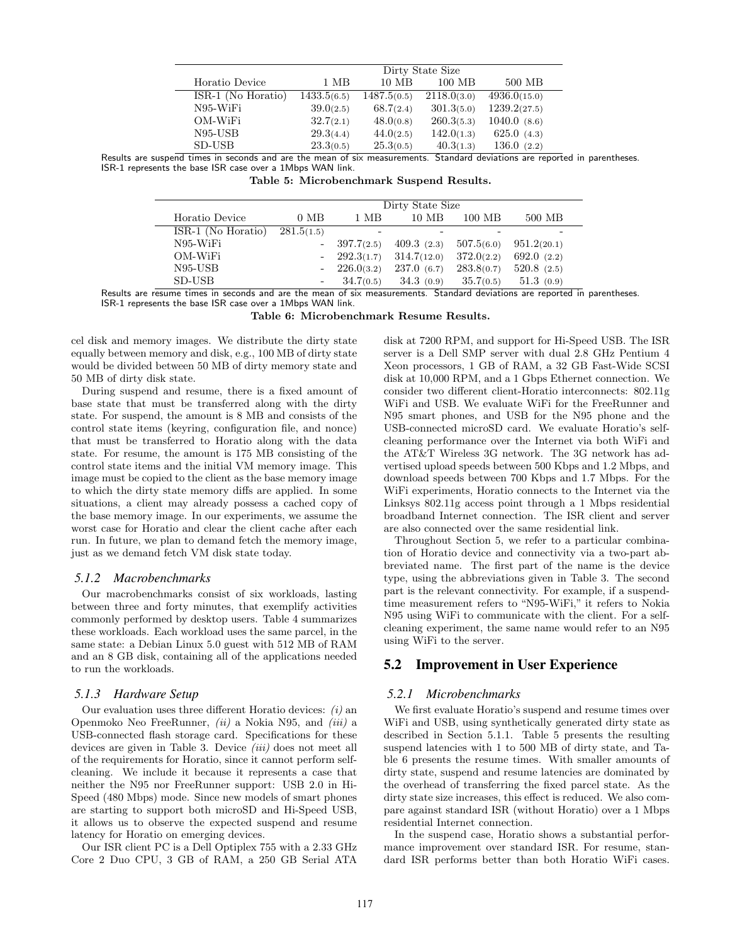|                    | Dirty State Size |             |             |               |  |  |  |
|--------------------|------------------|-------------|-------------|---------------|--|--|--|
| Horatio Device     | 1 MB             | 10 MB       | 100 MB      | 500 MB        |  |  |  |
| ISR-1 (No Horatio) | 1433.5(6.5)      | 1487.5(0.5) | 2118.0(3.0) | 4936.0(15.0)  |  |  |  |
| N95-WiFi           | 39.0(2.5)        | 68.7(2.4)   | 301.3(5.0)  | 1239.2(27.5)  |  |  |  |
| OM-WiFi            | 32.7(2.1)        | 48.0(0.8)   | 260.3(5.3)  | 1040.0(8.6)   |  |  |  |
| N95-USB            | 29.3(4.4)        | 44.0(2.5)   | 142.0(1.3)  | 625.0(4.3)    |  |  |  |
| SD-USB             | 23.3(0.5)        | 25.3(0.5)   | 40.3(1.3)   | 136.0 $(2.2)$ |  |  |  |

Results are suspend times in seconds and are the mean of six measurements. Standard deviations are reported in parentheses. ISR-1 represents the base ISR case over a 1Mbps WAN link.

|  | Table 5: Microbenchmark Suspend Results. |  |  |  |
|--|------------------------------------------|--|--|--|
|--|------------------------------------------|--|--|--|

|                                                                                                                          |                |                          | Dirty State Size |            |             |
|--------------------------------------------------------------------------------------------------------------------------|----------------|--------------------------|------------------|------------|-------------|
| Horatio Device                                                                                                           | $0 \text{ MB}$ | 1 MB                     | $10 \text{ MB}$  | 100 MB     | 500 MB      |
| ISR-1 (No Horatio)                                                                                                       | 281.5(1.5)     | $\overline{\phantom{0}}$ |                  |            |             |
| N95-WiFi                                                                                                                 |                | 397.7(2.5)               | 409.3(2.3)       | 507.5(6.0) | 951.2(20.1) |
| OM-WiFi                                                                                                                  |                | 292.3(1.7)               | 314.7(12.0)      | 372.0(2.2) | 692.0(2.2)  |
| N95-USB                                                                                                                  |                | $-226.0(3.2)$            | 237.0(6.7)       | 283.8(0.7) | 520.8(2.5)  |
| SD-USB<br>common atticos to concerte controller above on the the procession coals. Care deputations and procession of th |                | 34.7(0.5)                | 34.3(0.9)        | 35.7(0.5)  | 51.3(0.9)   |

Results are resume times in seconds and are the mean of six measurements. Standard deviations are reported in parentheses. ISR-1 represents the base ISR case over a 1Mbps WAN link.

Table 6: Microbenchmark Resume Results.

cel disk and memory images. We distribute the dirty state equally between memory and disk, e.g., 100 MB of dirty state would be divided between 50 MB of dirty memory state and 50 MB of dirty disk state.

During suspend and resume, there is a fixed amount of base state that must be transferred along with the dirty state. For suspend, the amount is 8 MB and consists of the control state items (keyring, configuration file, and nonce) that must be transferred to Horatio along with the data state. For resume, the amount is 175 MB consisting of the control state items and the initial VM memory image. This image must be copied to the client as the base memory image to which the dirty state memory diffs are applied. In some situations, a client may already possess a cached copy of the base memory image. In our experiments, we assume the worst case for Horatio and clear the client cache after each run. In future, we plan to demand fetch the memory image, just as we demand fetch VM disk state today.

#### *5.1.2 Macrobenchmarks*

Our macrobenchmarks consist of six workloads, lasting between three and forty minutes, that exemplify activities commonly performed by desktop users. Table 4 summarizes these workloads. Each workload uses the same parcel, in the same state: a Debian Linux 5.0 guest with 512 MB of RAM and an 8 GB disk, containing all of the applications needed to run the workloads.

#### *5.1.3 Hardware Setup*

Our evaluation uses three different Horatio devices:  $(i)$  and Openmoko Neo FreeRunner,  $(ii)$  a Nokia N95, and  $(iii)$  a USB-connected flash storage card. Specifications for these devices are given in Table 3. Device *(iii)* does not meet all of the requirements for Horatio, since it cannot perform selfcleaning. We include it because it represents a case that neither the N95 nor FreeRunner support: USB 2.0 in Hi-Speed (480 Mbps) mode. Since new models of smart phones are starting to support both microSD and Hi-Speed USB, it allows us to observe the expected suspend and resume latency for Horatio on emerging devices.

Our ISR client PC is a Dell Optiplex 755 with a 2.33 GHz Core 2 Duo CPU, 3 GB of RAM, a 250 GB Serial ATA

disk at 7200 RPM, and support for Hi-Speed USB. The ISR server is a Dell SMP server with dual 2.8 GHz Pentium 4 Xeon processors, 1 GB of RAM, a 32 GB Fast-Wide SCSI disk at 10,000 RPM, and a 1 Gbps Ethernet connection. We consider two different client-Horatio interconnects: 802.11g WiFi and USB. We evaluate WiFi for the FreeRunner and N95 smart phones, and USB for the N95 phone and the USB-connected microSD card. We evaluate Horatio's selfcleaning performance over the Internet via both WiFi and the AT&T Wireless 3G network. The 3G network has advertised upload speeds between 500 Kbps and 1.2 Mbps, and download speeds between 700 Kbps and 1.7 Mbps. For the WiFi experiments, Horatio connects to the Internet via the Linksys 802.11g access point through a 1 Mbps residential broadband Internet connection. The ISR client and server are also connected over the same residential link.

Throughout Section 5, we refer to a particular combination of Horatio device and connectivity via a two-part abbreviated name. The first part of the name is the device type, using the abbreviations given in Table 3. The second part is the relevant connectivity. For example, if a suspendtime measurement refers to "N95-WiFi," it refers to Nokia N95 using WiFi to communicate with the client. For a selfcleaning experiment, the same name would refer to an N95 using WiFi to the server.

## 5.2 Improvement in User Experience

#### *5.2.1 Microbenchmarks*

We first evaluate Horatio's suspend and resume times over WiFi and USB, using synthetically generated dirty state as described in Section 5.1.1. Table 5 presents the resulting suspend latencies with 1 to 500 MB of dirty state, and Table 6 presents the resume times. With smaller amounts of dirty state, suspend and resume latencies are dominated by the overhead of transferring the fixed parcel state. As the dirty state size increases, this effect is reduced. We also compare against standard ISR (without Horatio) over a 1 Mbps residential Internet connection.

In the suspend case, Horatio shows a substantial performance improvement over standard ISR. For resume, standard ISR performs better than both Horatio WiFi cases.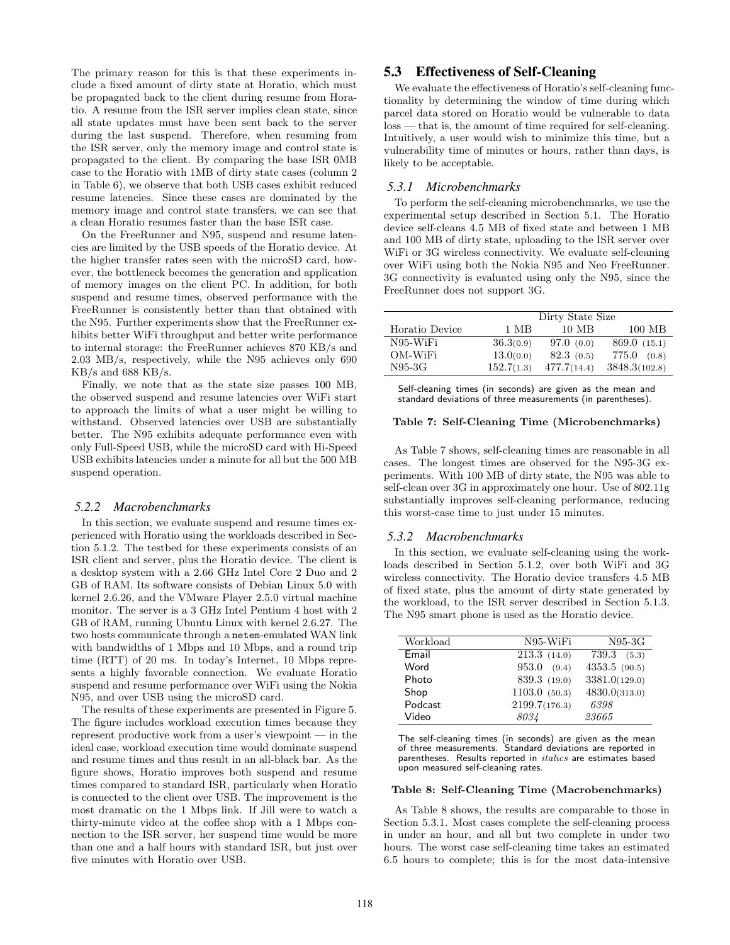The primary reason for this is that these experiments include a fixed amount of dirty state at Horatio, which must be propagated back to the client during resume from Horatio. A resume from the ISR server implies clean state, since all state updates must have been sent back to the server during the last suspend. Therefore, when resuming from the ISR server, only the memory image and control state is propagated to the client. By comparing the base ISR 0MB case to the Horatio with 1MB of dirty state cases (column 2 in Table 6), we observe that both USB cases exhibit reduced resume latencies. Since these cases are dominated by the memory image and control state transfers, we can see that a clean Horatio resumes faster than the base ISR case.

On the FreeRunner and N95, suspend and resume latencies are limited by the USB speeds of the Horatio device. At the higher transfer rates seen with the microSD card, however, the bottleneck becomes the generation and application of memory images on the client PC. In addition, for both suspend and resume times, observed performance with the FreeRunner is consistently better than that obtained with the N95. Further experiments show that the FreeRunner exhibits better WiFi throughput and better write performance to internal storage: the FreeRunner achieves 870 KB/s and 2.03 MB/s, respectively, while the N95 achieves only 690 KB/s and 688 KB/s.

Finally, we note that as the state size passes 100 MB, the observed suspend and resume latencies over WiFi start to approach the limits of what a user might be willing to withstand. Observed latencies over USB are substantially better. The N95 exhibits adequate performance even with only Full-Speed USB, while the microSD card with Hi-Speed USB exhibits latencies under a minute for all but the 500 MB suspend operation.

#### *5.2.2 Macrobenchmarks*

In this section, we evaluate suspend and resume times experienced with Horatio using the workloads described in Section 5.1.2. The testbed for these experiments consists of an ISR client and server, plus the Horatio device. The client is a desktop system with a 2.66 GHz Intel Core 2 Duo and 2 GB of RAM. Its software consists of Debian Linux 5.0 with kernel 2.6.26, and the VMware Player 2.5.0 virtual machine monitor. The server is a 3 GHz Intel Pentium 4 host with 2 GB of RAM, running Ubuntu Linux with kernel 2.6.27. The two hosts communicate through a netem-emulated WAN link with bandwidths of 1 Mbps and 10 Mbps, and a round trip time (RTT) of 20 ms. In today's Internet, 10 Mbps represents a highly favorable connection. We evaluate Horatio suspend and resume performance over WiFi using the Nokia N95, and over USB using the microSD card.

The results of these experiments are presented in Figure 5. The figure includes workload execution times because they represent productive work from a user's viewpoint — in the ideal case, workload execution time would dominate suspend and resume times and thus result in an all-black bar. As the figure shows, Horatio improves both suspend and resume times compared to standard ISR, particularly when Horatio is connected to the client over USB. The improvement is the most dramatic on the 1 Mbps link. If Jill were to watch a thirty-minute video at the coffee shop with a 1 Mbps connection to the ISR server, her suspend time would be more than one and a half hours with standard ISR, but just over five minutes with Horatio over USB.

# 5.3 Effectiveness of Self-Cleaning

We evaluate the effectiveness of Horatio's self-cleaning functionality by determining the window of time during which parcel data stored on Horatio would be vulnerable to data loss — that is, the amount of time required for self-cleaning. Intuitively, a user would wish to minimize this time, but a vulnerability time of minutes or hours, rather than days, is likely to be acceptable.

#### *5.3.1 Microbenchmarks*

To perform the self-cleaning microbenchmarks, we use the experimental setup described in Section 5.1. The Horatio device self-cleans 4.5 MB of fixed state and between 1 MB and 100 MB of dirty state, uploading to the ISR server over WiFi or 3G wireless connectivity. We evaluate self-cleaning over WiFi using both the Nokia N95 and Neo FreeRunner. 3G connectivity is evaluated using only the N95, since the FreeRunner does not support 3G.

|                |            | Dirty State Size |                  |
|----------------|------------|------------------|------------------|
| Horatio Device | 1 MB       | 10 MB            | $100 \text{ MB}$ |
| N95-WiFi       | 36.3(0.9)  | 97.0(0.0)        | 869.0(15.1)      |
| OM-WiFi        | 13.0(0.0)  | 82.3(0.5)        | 775.0<br>(0.8)   |
| N95-3G         | 152.7(1.3) | 477.7(14.4)      | 3848.3(102.8)    |

Self-cleaning times (in seconds) are given as the mean and standard deviations of three measurements (in parentheses).

#### Table 7: Self-Cleaning Time (Microbenchmarks)

As Table 7 shows, self-cleaning times are reasonable in all cases. The longest times are observed for the N95-3G experiments. With 100 MB of dirty state, the N95 was able to self-clean over 3G in approximately one hour. Use of 802.11g substantially improves self-cleaning performance, reducing this worst-case time to just under 15 minutes.

#### *5.3.2 Macrobenchmarks*

In this section, we evaluate self-cleaning using the workloads described in Section 5.1.2, over both WiFi and 3G wireless connectivity. The Horatio device transfers 4.5 MB of fixed state, plus the amount of dirty state generated by the workload, to the ISR server described in Section 5.1.3. The N95 smart phone is used as the Horatio device.

| Workload | N95-WiFi      | N95-3G          |
|----------|---------------|-----------------|
| Email    | 213.3(14.0)   | $739.3$ $(5.3)$ |
| Word     | 953.0(9.4)    | 4353.5(90.5)    |
| Photo    | 839.3 (19.0)  | 3381.0(129.0)   |
| Shop     | 1103.0(50.3)  | 4830.0(313.0)   |
| Podcast  | 2199.7(176.3) | 6398            |
| Video    | 8034          | 23665           |

The self-cleaning times (in seconds) are given as the mean of three measurements. Standard deviations are reported in parentheses. Results reported in *italics* are estimates based upon measured self-cleaning rates.

#### Table 8: Self-Cleaning Time (Macrobenchmarks)

As Table 8 shows, the results are comparable to those in Section 5.3.1. Most cases complete the self-cleaning process in under an hour, and all but two complete in under two hours. The worst case self-cleaning time takes an estimated 6.5 hours to complete; this is for the most data-intensive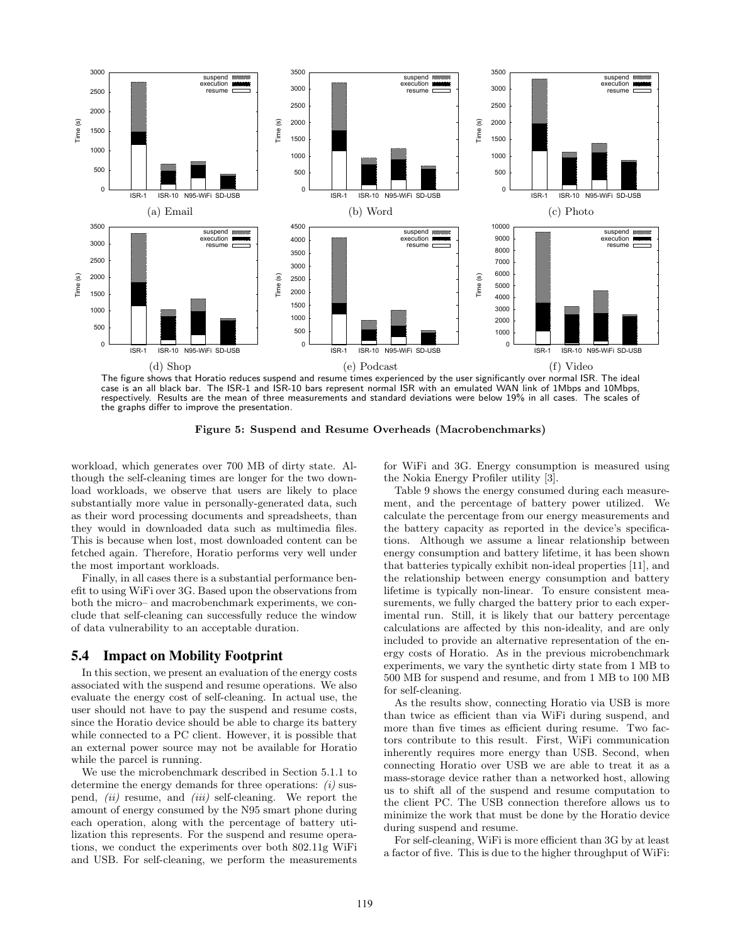

case is an all black bar. The ISR-1 and ISR-10 bars represent normal ISR with an emulated WAN link of 1Mbps and 10Mbps, respectively. Results are the mean of three measurements and standard deviations were below 19% in all cases. The scales of the graphs differ to improve the presentation.

Figure 5: Suspend and Resume Overheads (Macrobenchmarks)

workload, which generates over 700 MB of dirty state. Although the self-cleaning times are longer for the two download workloads, we observe that users are likely to place substantially more value in personally-generated data, such as their word processing documents and spreadsheets, than they would in downloaded data such as multimedia files. This is because when lost, most downloaded content can be fetched again. Therefore, Horatio performs very well under the most important workloads.

Finally, in all cases there is a substantial performance benefit to using WiFi over 3G. Based upon the observations from both the micro– and macrobenchmark experiments, we conclude that self-cleaning can successfully reduce the window of data vulnerability to an acceptable duration.

# 5.4 Impact on Mobility Footprint

In this section, we present an evaluation of the energy costs associated with the suspend and resume operations. We also evaluate the energy cost of self-cleaning. In actual use, the user should not have to pay the suspend and resume costs, since the Horatio device should be able to charge its battery while connected to a PC client. However, it is possible that an external power source may not be available for Horatio while the parcel is running.

We use the microbenchmark described in Section 5.1.1 to determine the energy demands for three operations:  $(i)$  suspend, (ii) resume, and (iii) self-cleaning. We report the amount of energy consumed by the N95 smart phone during each operation, along with the percentage of battery utilization this represents. For the suspend and resume operations, we conduct the experiments over both 802.11g WiFi and USB. For self-cleaning, we perform the measurements

for WiFi and 3G. Energy consumption is measured using the Nokia Energy Profiler utility [3].

Table 9 shows the energy consumed during each measurement, and the percentage of battery power utilized. We calculate the percentage from our energy measurements and the battery capacity as reported in the device's specifications. Although we assume a linear relationship between energy consumption and battery lifetime, it has been shown that batteries typically exhibit non-ideal properties [11], and the relationship between energy consumption and battery lifetime is typically non-linear. To ensure consistent measurements, we fully charged the battery prior to each experimental run. Still, it is likely that our battery percentage calculations are affected by this non-ideality, and are only included to provide an alternative representation of the energy costs of Horatio. As in the previous microbenchmark experiments, we vary the synthetic dirty state from 1 MB to 500 MB for suspend and resume, and from 1 MB to 100 MB for self-cleaning.

As the results show, connecting Horatio via USB is more than twice as efficient than via WiFi during suspend, and more than five times as efficient during resume. Two factors contribute to this result. First, WiFi communication inherently requires more energy than USB. Second, when connecting Horatio over USB we are able to treat it as a mass-storage device rather than a networked host, allowing us to shift all of the suspend and resume computation to the client PC. The USB connection therefore allows us to minimize the work that must be done by the Horatio device during suspend and resume.

For self-cleaning, WiFi is more efficient than 3G by at least a factor of five. This is due to the higher throughput of WiFi: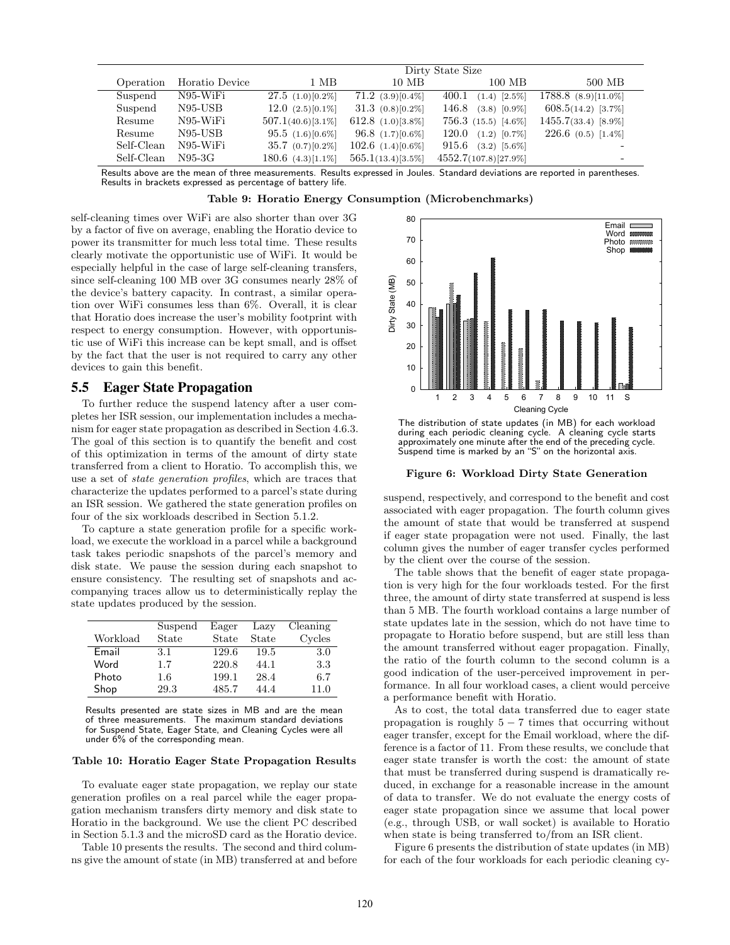|            |                | Dirty State Size     |                        |                            |                       |
|------------|----------------|----------------------|------------------------|----------------------------|-----------------------|
| Operation  | Horatio Device | 1 MB                 | $10\ \mathrm{MB}$      | $100 \text{ MB}$           | 500 MB                |
| Suspend    | N95-WiFi       | $27.5(1.0)[0.2\%]$   | $71.2(3.9)[0.4\%]$     | 400.1<br>$(1.4)$ $[2.5\%]$ | 1788.8 (8.9)[11.0%]   |
| Suspend    | N95-USB        | $12.0(2.5)[0.1\%]$   | $31.3(0.8)[0.2\%]$     | 146.8<br>$(3.8)$ [0.9%]    | $608.5(14.2)$ [3.7%]  |
| Resume     | N95-WiFi       | $507.1(40.6)[3.1\%]$ | 612.8 $(1.0)$ [3.8%]   | $756.3$ (15.5) [4.6%]      | $1455.7(33.4)$ [8.9%] |
| Resume     | N95-USB        | $95.5(1.6)[0.6\%]$   | $96.8(1.7)[0.6\%]$     | 120.0<br>$(1.2)$ $[0.7\%]$ | $226.6$ (0.5) [1.4%]  |
| Self-Clean | N95-WiFi       | $35.7(0.7)[0.2\%]$   | $102.6$ $(1.4)[0.6\%]$ | 915.6<br>$(3.2)$ [5.6\%]   |                       |
| Self-Clean | N95-3G         | $180.6(4.3)[1.1\%]$  | $565.1(13.4)[3.5\%]$   | $4552.7(107.8)[27.9\%]$    | -                     |

Results above are the mean of three measurements. Results expressed in Joules. Standard deviations are reported in parentheses. Results in brackets expressed as percentage of battery life.

Table 9: Horatio Energy Consumption (Microbenchmarks)

self-cleaning times over WiFi are also shorter than over 3G by a factor of five on average, enabling the Horatio device to power its transmitter for much less total time. These results clearly motivate the opportunistic use of WiFi. It would be especially helpful in the case of large self-cleaning transfers, since self-cleaning 100 MB over 3G consumes nearly 28% of the device's battery capacity. In contrast, a similar operation over WiFi consumes less than 6%. Overall, it is clear that Horatio does increase the user's mobility footprint with respect to energy consumption. However, with opportunistic use of WiFi this increase can be kept small, and is offset by the fact that the user is not required to carry any other devices to gain this benefit.

# 5.5 Eager State Propagation

To further reduce the suspend latency after a user completes her ISR session, our implementation includes a mechanism for eager state propagation as described in Section 4.6.3. The goal of this section is to quantify the benefit and cost of this optimization in terms of the amount of dirty state transferred from a client to Horatio. To accomplish this, we use a set of state generation profiles, which are traces that characterize the updates performed to a parcel's state during an ISR session. We gathered the state generation profiles on four of the six workloads described in Section 5.1.2.

To capture a state generation profile for a specific workload, we execute the workload in a parcel while a background task takes periodic snapshots of the parcel's memory and disk state. We pause the session during each snapshot to ensure consistency. The resulting set of snapshots and accompanying traces allow us to deterministically replay the state updates produced by the session.

|          | Suspend | Eager | Lazy  | $C$ leaning |
|----------|---------|-------|-------|-------------|
| Workload | State   | State | State | Cycles      |
| Email    | 3.1     | 129.6 | 19.5  | 3.0         |
| Word     | 1.7     | 220.8 | 44.1  | 3.3         |
| Photo    | 1.6     | 199.1 | 28.4  | 6.7         |
| Shop     | 29.3    | 485.7 | 44.4  | 11.0        |

Results presented are state sizes in MB and are the mean of three measurements. The maximum standard deviations for Suspend State, Eager State, and Cleaning Cycles were all under 6% of the corresponding mean.

#### Table 10: Horatio Eager State Propagation Results

To evaluate eager state propagation, we replay our state generation profiles on a real parcel while the eager propagation mechanism transfers dirty memory and disk state to Horatio in the background. We use the client PC described in Section 5.1.3 and the microSD card as the Horatio device.

Table 10 presents the results. The second and third columns give the amount of state (in MB) transferred at and before



The distribution of state updates (in MB) for each workload during each periodic cleaning cycle. A cleaning cycle starts approximately one minute after the end of the preceding cycle. Suspend time is marked by an "S" on the horizontal axis.

#### Figure 6: Workload Dirty State Generation

suspend, respectively, and correspond to the benefit and cost associated with eager propagation. The fourth column gives the amount of state that would be transferred at suspend if eager state propagation were not used. Finally, the last column gives the number of eager transfer cycles performed by the client over the course of the session.

The table shows that the benefit of eager state propagation is very high for the four workloads tested. For the first three, the amount of dirty state transferred at suspend is less than 5 MB. The fourth workload contains a large number of state updates late in the session, which do not have time to propagate to Horatio before suspend, but are still less than the amount transferred without eager propagation. Finally, the ratio of the fourth column to the second column is a good indication of the user-perceived improvement in performance. In all four workload cases, a client would perceive a performance benefit with Horatio.

As to cost, the total data transferred due to eager state propagation is roughly  $5 - 7$  times that occurring without eager transfer, except for the Email workload, where the difference is a factor of 11. From these results, we conclude that eager state transfer is worth the cost: the amount of state that must be transferred during suspend is dramatically reduced, in exchange for a reasonable increase in the amount of data to transfer. We do not evaluate the energy costs of eager state propagation since we assume that local power (e.g., through USB, or wall socket) is available to Horatio when state is being transferred to/from an ISR client.

Figure 6 presents the distribution of state updates (in MB) for each of the four workloads for each periodic cleaning cy-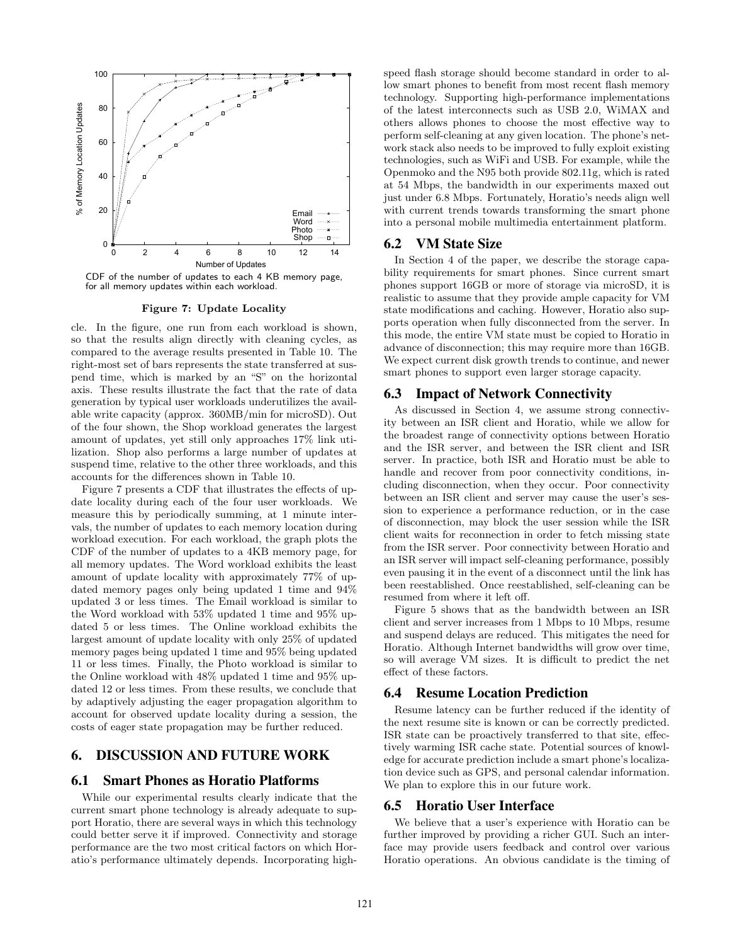

CDF of the number of updates to each 4 KB memory page, for all memory updates within each workload.

#### Figure 7: Update Locality

cle. In the figure, one run from each workload is shown, so that the results align directly with cleaning cycles, as compared to the average results presented in Table 10. The right-most set of bars represents the state transferred at suspend time, which is marked by an "S" on the horizontal axis. These results illustrate the fact that the rate of data generation by typical user workloads underutilizes the available write capacity (approx. 360MB/min for microSD). Out of the four shown, the Shop workload generates the largest amount of updates, yet still only approaches 17% link utilization. Shop also performs a large number of updates at suspend time, relative to the other three workloads, and this accounts for the differences shown in Table 10.

Figure 7 presents a CDF that illustrates the effects of update locality during each of the four user workloads. We measure this by periodically summing, at 1 minute intervals, the number of updates to each memory location during workload execution. For each workload, the graph plots the CDF of the number of updates to a 4KB memory page, for all memory updates. The Word workload exhibits the least amount of update locality with approximately 77% of updated memory pages only being updated 1 time and 94% updated 3 or less times. The Email workload is similar to the Word workload with 53% updated 1 time and 95% updated 5 or less times. The Online workload exhibits the largest amount of update locality with only 25% of updated memory pages being updated 1 time and 95% being updated 11 or less times. Finally, the Photo workload is similar to the Online workload with 48% updated 1 time and 95% updated 12 or less times. From these results, we conclude that by adaptively adjusting the eager propagation algorithm to account for observed update locality during a session, the costs of eager state propagation may be further reduced.

# 6. DISCUSSION AND FUTURE WORK

## 6.1 Smart Phones as Horatio Platforms

While our experimental results clearly indicate that the current smart phone technology is already adequate to support Horatio, there are several ways in which this technology could better serve it if improved. Connectivity and storage performance are the two most critical factors on which Horatio's performance ultimately depends. Incorporating highspeed flash storage should become standard in order to allow smart phones to benefit from most recent flash memory technology. Supporting high-performance implementations of the latest interconnects such as USB 2.0, WiMAX and others allows phones to choose the most effective way to perform self-cleaning at any given location. The phone's network stack also needs to be improved to fully exploit existing technologies, such as WiFi and USB. For example, while the Openmoko and the N95 both provide 802.11g, which is rated at 54 Mbps, the bandwidth in our experiments maxed out just under 6.8 Mbps. Fortunately, Horatio's needs align well with current trends towards transforming the smart phone into a personal mobile multimedia entertainment platform.

#### 6.2 VM State Size

In Section 4 of the paper, we describe the storage capability requirements for smart phones. Since current smart phones support 16GB or more of storage via microSD, it is realistic to assume that they provide ample capacity for VM state modifications and caching. However, Horatio also supports operation when fully disconnected from the server. In this mode, the entire VM state must be copied to Horatio in advance of disconnection; this may require more than 16GB. We expect current disk growth trends to continue, and newer smart phones to support even larger storage capacity.

## 6.3 Impact of Network Connectivity

As discussed in Section 4, we assume strong connectivity between an ISR client and Horatio, while we allow for the broadest range of connectivity options between Horatio and the ISR server, and between the ISR client and ISR server. In practice, both ISR and Horatio must be able to handle and recover from poor connectivity conditions, including disconnection, when they occur. Poor connectivity between an ISR client and server may cause the user's session to experience a performance reduction, or in the case of disconnection, may block the user session while the ISR client waits for reconnection in order to fetch missing state from the ISR server. Poor connectivity between Horatio and an ISR server will impact self-cleaning performance, possibly even pausing it in the event of a disconnect until the link has been reestablished. Once reestablished, self-cleaning can be resumed from where it left off.

Figure 5 shows that as the bandwidth between an ISR client and server increases from 1 Mbps to 10 Mbps, resume and suspend delays are reduced. This mitigates the need for Horatio. Although Internet bandwidths will grow over time, so will average VM sizes. It is difficult to predict the net effect of these factors.

#### 6.4 Resume Location Prediction

Resume latency can be further reduced if the identity of the next resume site is known or can be correctly predicted. ISR state can be proactively transferred to that site, effectively warming ISR cache state. Potential sources of knowledge for accurate prediction include a smart phone's localization device such as GPS, and personal calendar information. We plan to explore this in our future work.

#### 6.5 Horatio User Interface

We believe that a user's experience with Horatio can be further improved by providing a richer GUI. Such an interface may provide users feedback and control over various Horatio operations. An obvious candidate is the timing of